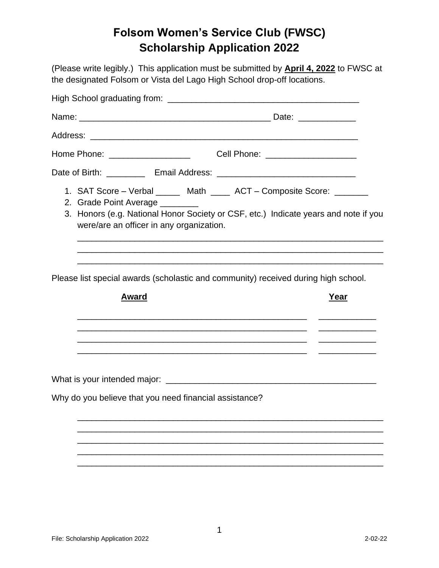## **Folsom Women's Service Club (FWSC) Scholarship Application 2022**

(Please write legibly.) This application must be submitted by **April 4, 2022** to FWSC at the designated Folsom or Vista del Lago High School drop-off locations.

| 2. Grade Point Average _______<br>were/are an officer in any organization. | 1. SAT Score - Verbal ______ Math ____ ACT - Composite Score: _______<br>3. Honors (e.g. National Honor Society or CSF, etc.) Indicate years and note if you |
|----------------------------------------------------------------------------|--------------------------------------------------------------------------------------------------------------------------------------------------------------|
| Award                                                                      | Please list special awards (scholastic and community) received during high school.<br>Year                                                                   |
| Why do you believe that you need financial assistance?                     |                                                                                                                                                              |
|                                                                            |                                                                                                                                                              |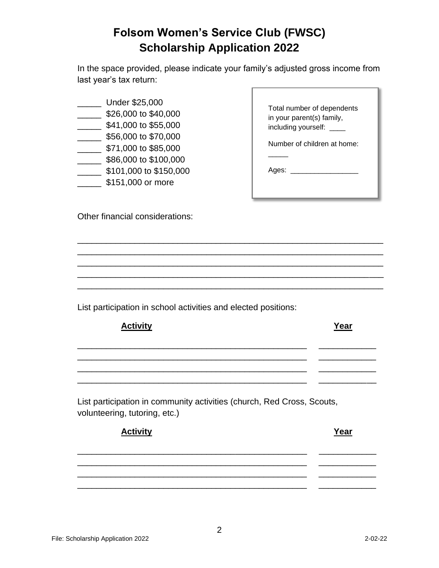## **Folsom Women's Service Club (FWSC) Scholarship Application 2022**

In the space provided, please indicate your family's adjusted gross income from last year's tax return:

- \_\_\_\_\_ Under \$25,000
- \_\_\_\_\_ \$26,000 to \$40,000
- $\frac{1}{2}$  \$41,000 to \$55,000
- \_\_\_\_\_ \$56,000 to \$70,000
- \_\_\_\_\_ \$71,000 to \$85,000
- \_\_\_\_\_ \$86,000 to \$100,000
- \_\_\_\_\_ \$101,000 to \$150,000
- **\$151,000 or more**

| Total number of dependents  |
|-----------------------------|
| in your parent(s) family,   |
| including yourself: ____    |
| Number of children at home: |
|                             |

Ages: \_\_\_\_\_\_\_\_\_\_\_\_\_\_\_\_\_

Other financial considerations:

List participation in school activities and elected positions:

| <b>Activity</b> | Year |
|-----------------|------|
|                 |      |
|                 |      |
|                 |      |

\_\_\_\_\_\_\_\_\_\_\_\_\_\_\_\_\_\_\_\_\_\_\_\_\_\_\_\_\_\_\_\_\_\_\_\_\_\_\_\_\_\_\_\_\_\_\_\_\_\_\_\_\_\_\_\_\_\_\_\_\_\_\_\_ \_\_\_\_\_\_\_\_\_\_\_\_\_\_\_\_\_\_\_\_\_\_\_\_\_\_\_\_\_\_\_\_\_\_\_\_\_\_\_\_\_\_\_\_\_\_\_\_\_\_\_\_\_\_\_\_\_\_\_\_\_\_\_\_ \_\_\_\_\_\_\_\_\_\_\_\_\_\_\_\_\_\_\_\_\_\_\_\_\_\_\_\_\_\_\_\_\_\_\_\_\_\_\_\_\_\_\_\_\_\_\_\_\_\_\_\_\_\_\_\_\_\_\_\_\_\_\_\_ \_\_\_\_\_\_\_\_\_\_\_\_\_\_\_\_\_\_\_\_\_\_\_\_\_\_\_\_\_\_\_\_\_\_\_\_\_\_\_\_\_\_\_\_\_\_\_\_\_\_\_\_\_\_\_\_\_\_\_\_\_\_\_\_ \_\_\_\_\_\_\_\_\_\_\_\_\_\_\_\_\_\_\_\_\_\_\_\_\_\_\_\_\_\_\_\_\_\_\_\_\_\_\_\_\_\_\_\_\_\_\_\_\_\_\_\_\_\_\_\_\_\_\_\_\_\_\_\_

List participation in community activities (church, Red Cross, Scouts, volunteering, tutoring, etc.)

| <b>Activity</b> | Year |
|-----------------|------|
|                 |      |
|                 |      |
|                 |      |
|                 |      |
|                 |      |